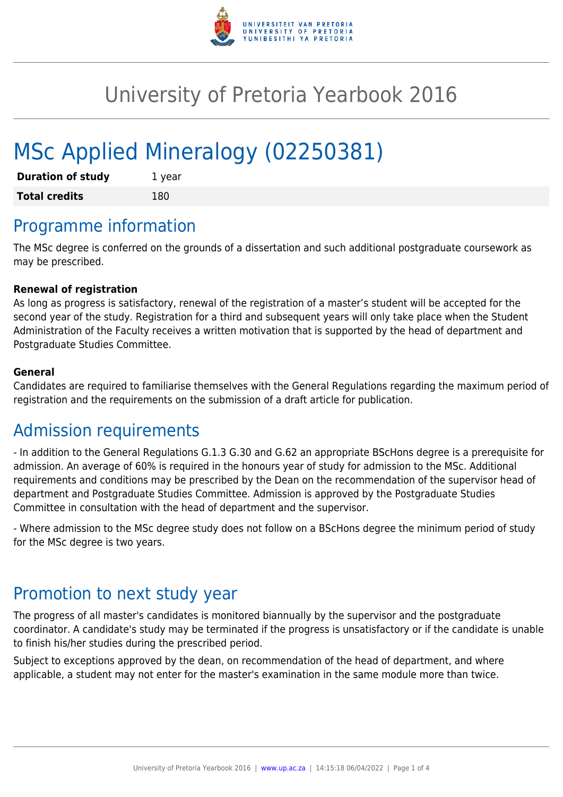

# University of Pretoria Yearbook 2016

# MSc Applied Mineralogy (02250381)

| <b>Duration of study</b> | 1 year |
|--------------------------|--------|
| <b>Total credits</b>     | 180    |

## Programme information

The MSc degree is conferred on the grounds of a dissertation and such additional postgraduate coursework as may be prescribed.

#### **Renewal of registration**

As long as progress is satisfactory, renewal of the registration of a master's student will be accepted for the second year of the study. Registration for a third and subsequent years will only take place when the Student Administration of the Faculty receives a written motivation that is supported by the head of department and Postgraduate Studies Committee.

#### **General**

Candidates are required to familiarise themselves with the General Regulations regarding the maximum period of registration and the requirements on the submission of a draft article for publication.

### Admission requirements

- In addition to the General Regulations G.1.3 G.30 and G.62 an appropriate BScHons degree is a prerequisite for admission. An average of 60% is required in the honours year of study for admission to the MSc. Additional requirements and conditions may be prescribed by the Dean on the recommendation of the supervisor head of department and Postgraduate Studies Committee. Admission is approved by the Postgraduate Studies Committee in consultation with the head of department and the supervisor.

- Where admission to the MSc degree study does not follow on a BScHons degree the minimum period of study for the MSc degree is two years.

## Promotion to next study year

The progress of all master's candidates is monitored biannually by the supervisor and the postgraduate coordinator. A candidate's study may be terminated if the progress is unsatisfactory or if the candidate is unable to finish his/her studies during the prescribed period.

Subject to exceptions approved by the dean, on recommendation of the head of department, and where applicable, a student may not enter for the master's examination in the same module more than twice.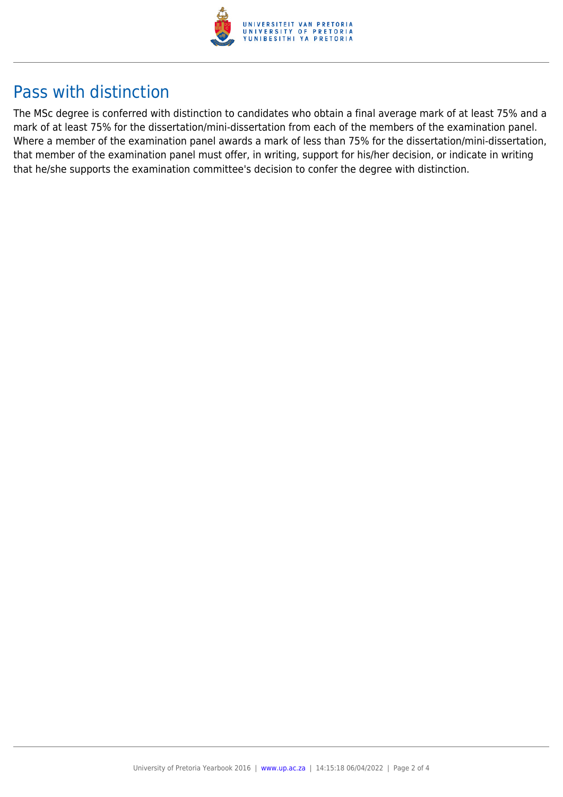

## Pass with distinction

The MSc degree is conferred with distinction to candidates who obtain a final average mark of at least 75% and a mark of at least 75% for the dissertation/mini-dissertation from each of the members of the examination panel. Where a member of the examination panel awards a mark of less than 75% for the dissertation/mini-dissertation, that member of the examination panel must offer, in writing, support for his/her decision, or indicate in writing that he/she supports the examination committee's decision to confer the degree with distinction.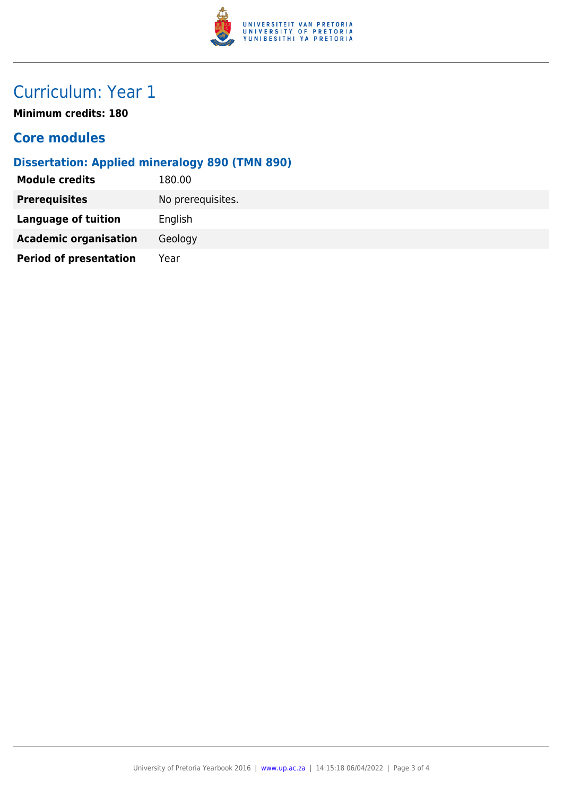

# Curriculum: Year 1

**Minimum credits: 180**

#### **Core modules**

#### **Dissertation: Applied mineralogy 890 (TMN 890)**

| 180.00            |
|-------------------|
| No prerequisites. |
| English           |
| Geology           |
| Year              |
|                   |